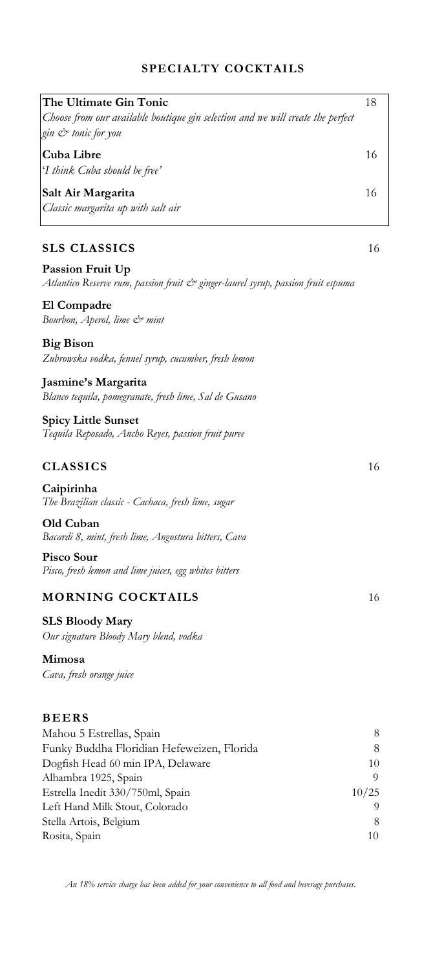## **SPECIALTY COCKTAILS**

| The Ultimate Gin Tonic                                                           | 18    |
|----------------------------------------------------------------------------------|-------|
| Choose from our available boutique gin selection and we will create the perfect  |       |
| gin & tonic for you                                                              |       |
|                                                                                  |       |
| Cuba Libre                                                                       | 16    |
| 'I think Cuba should be free'                                                    |       |
|                                                                                  |       |
| Salt Air Margarita                                                               | 16    |
| Classic margarita up with salt air                                               |       |
|                                                                                  |       |
|                                                                                  |       |
| <b>SLS CLASSICS</b>                                                              | 16    |
|                                                                                  |       |
| <b>Passion Fruit Up</b>                                                          |       |
| Atlantico Reserve rum, passion fruit & ginger-laurel syrup, passion fruit espuma |       |
|                                                                                  |       |
| El Compadre                                                                      |       |
| Bourbon, Aperol, lime & mint                                                     |       |
|                                                                                  |       |
| <b>Big Bison</b>                                                                 |       |
| Zubrowska vodka, fennel syrup, cucumber, fresh lemon                             |       |
|                                                                                  |       |
| Jasmine's Margarita                                                              |       |
| Blanco tequila, pomegranate, fresh lime, Sal de Gusano                           |       |
|                                                                                  |       |
| <b>Spicy Little Sunset</b>                                                       |       |
|                                                                                  |       |
| Tequila Reposado, Ancho Reyes, passion fruit puree                               |       |
|                                                                                  |       |
| <b>CLASSICS</b>                                                                  | 16    |
|                                                                                  |       |
| Caipirinha                                                                       |       |
| The Brazilian classic - Cachaca, fresh lime, sugar                               |       |
|                                                                                  |       |
| Old Cuban                                                                        |       |
| Bacardi 8, mint, fresh lime, Angostura bitters, Cava                             |       |
|                                                                                  |       |
| Pisco Sour                                                                       |       |
| Pisco, fresh lemon and lime juices, egg whites bitters                           |       |
|                                                                                  |       |
| <b>MORNING COCKTAILS</b>                                                         | 16    |
|                                                                                  |       |
| <b>SLS Bloody Mary</b>                                                           |       |
| Our signature Bloody Mary blend, vodka                                           |       |
|                                                                                  |       |
| Mimosa                                                                           |       |
| Cava, fresh orange juice                                                         |       |
|                                                                                  |       |
|                                                                                  |       |
|                                                                                  |       |
| <b>BEERS</b>                                                                     |       |
| Mahou 5 Estrellas, Spain                                                         | 8     |
| Funky Buddha Floridian Hefeweizen, Florida                                       | 8     |
|                                                                                  |       |
| Dogfish Head 60 min IPA, Delaware                                                | 10    |
| Alhambra 1925, Spain                                                             | 9     |
| Estrella Inedit 330/750ml, Spain                                                 | 10/25 |
| Left Hand Milk Stout, Colorado                                                   | 9     |

Stella Artois, Belgium 8<br>Rosita, Spain 10

Left Hand Milk Stout, Colorado

Rosita, Spain